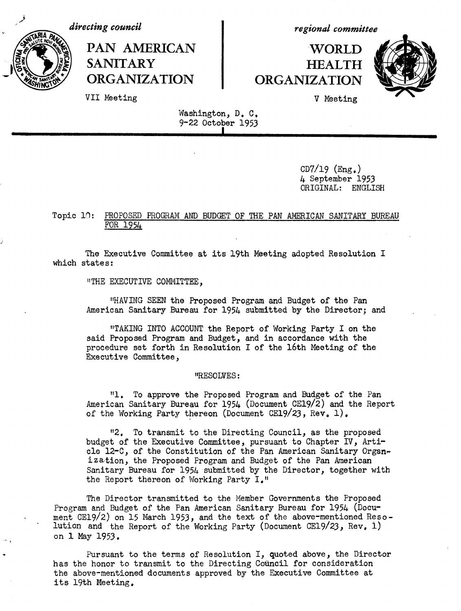*directing council*

PAN AMERICAN I WORLD SANITARY **HEALTH ORGANIZATION ORGANIZATION**

*regional committee*



VII Meeting **V** Meeting

Washington, D. C, 9-22 October 1953

**I**

 $CD7/19$  (Eng.) 4 September 1953 ORIGINAL: ENGLISH

### Topic 10: PROPOSED PROGRAM AND BUDGET OF THE PAN AMERICAN SANITARY BUREAU FOR 1954

The Executive Committee at its 19th Meeting adopted Resolution I which states:

"THE EXECUTIVE COMMITTEE,

"HAVING SEEN the Proposed Program and Budget of the Pan American Sanitary Bureau for 1954 submitted by the Director; and

"TAKING INTO ACCOUNT the Report of Working Party I on the said Proposed Program and Budget, and in accordance with the procedure set forth in Resolution I of the 16th Meeting of the Executive Committee,

### "RESOLVES:

"1. To approve the Proposed Program and Budget of the Pan American Sanitary Bureau for 1954 (Document CE19/2) and the Report of the Working Party thereon (Document CE19/23, Rev, 1),

"2. To transmit to the Directing Council, as the proposed budget of the Executive Committee, pursuant to Chapter IV, Article 12-C, of the Constitution of the Pan American Sanitary Organization, the Proposed Program and Budget of the Pan American Sanitary Bureau for 1954 submitted by the Director, together with the Report thereon of Working Party I."

The Director transmitted to the Member Governments the Proposed Program and Budget of the Pan American Sanitary Bureau for 1954 (Document CE19/2) on 15 March 1953, and the text of the above-mentioned Resolution and the Report of the Working Party (Document CE19/23, Rev, 1) on 1 May 1953.

Pursuant to the terms of Resolution I, quoted above, the Director has the honor to transmit to the Directing Council for consideration the above-mentioned documents approved by the Executive Committee at its 19th Meeting.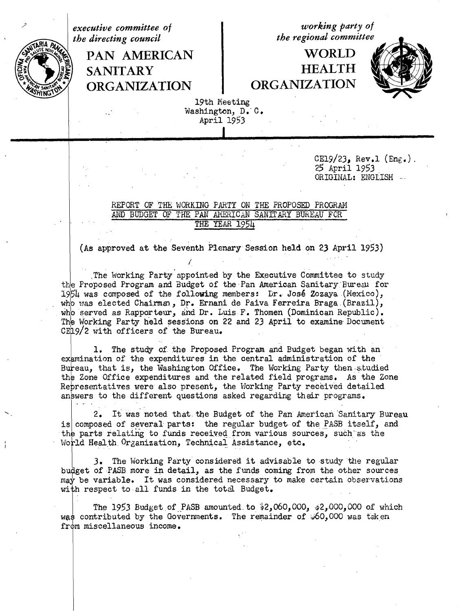*the directing council* 

am

**ORGANIZATION ORGANIZATION**

*executive committee of working party of*<br> *the directing council the regional committee* 

## PAN AMERICAN | WORLD **/a t SANITARY** HEALTH



19th Meeting Washington, D. C. April 1953

> $CE19/23$ , Rev.1 (Eng.). 25 April 1953 ORIGINAL: ENGLISH

### REPORT OF THE WORKING PARTY ON THE PROPOSED PROGRAM AND BUDGET OF THE PAN AMERICAN SANITARY BUREAU FCR THE YEAR 1954

(As approved at the Seventh Plenary Session held on 23 April 1953)

.The Working Party appointed by the Executive Committee to study the Proposed Program and Budget of the Pan American Sanitary'Bureau for 19154 was composed of the following members: Dr. Jos6 Zozaya (Mexico), who was elected Chairmma, Dr. Ernani de Paiva Ferreira Braga.(Brazil), who served as Rapporteur, and Dr. Luis F. Thomen (Dominican Republic). The Working Party held sessions on 22 and 23 April to examine Document CE19/2 with officers of the Bureau.

1. The study of the Proposed Program and Budget began with an examination of the expenditures in the central administration of the Bureau, that is, the Washington Office. The Working Party then studied the Zone Office expenditures and the related field programs. As the Zone Representatives were also present, the Working Party received detailed answers to the different questions asked regarding their programs.

2. It was noted that the Budget of the Pan American Sanitary Bureau is composed of several parts: the regular budget of the PASB itself, and the parts relating to funds received from various sources, such as the World Health. Organization, Technical Assistance, etc.

3. The Working Party considered it advisable to study the regular bu get of PASB more in detail, as the funds coming from the other sources may be variable. It was considered necessary to make certain observations with respect to all funds in the total Budget.

The 1953 Budget of PASB amounted to  $2,060,000, 22,000,000$  of which was contributed by the Governments. The remainder of  $\frac{1}{2}60,000$  was taken from miscellaneous income.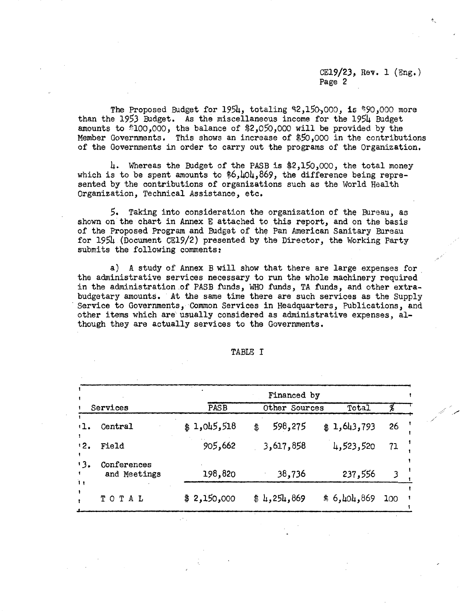CE19/23, Rev. 1 (Eng.) Page 2

The Proposed Budget for  $195\mu$ , totaling \$2,150,000, is \$90,000 more than the 1953 Budget. As the miscellaneous income for the 1954 Budget amounts to "100,000, the balance of \$2,050,000 will be provided by the Member Governments. This shows an increase of \$50,000 in the contributions of the Governments in order to carry out the programs of the Organization.

4. Whereas the Budget of the PASB is \$2,150,000, the total money which is to be spent amounts to \$6,404,869, the difference being represented by the contributions of organizations such as the World Health Organization, Technical Assistance, etc.

5. Taking into consideration the organization of the Bureau, as shown on the chart in Annex E attached to this report, and on the basis of the Proposed Program and Budget of the Pan American Sanitary Bureau for 1954 (Document CE19/2) presented by the Director, the Working Party submits the following comments:

a) A study of Annex B will show that there are large expenses for the administrative services necessary to run the whole machinery required in the administration of PASB funds, WHO funds, TA funds, and other extrabudgetary amounts. At the same time there are such services as the Supply Service to Governments, Common Services in Headquarters, Publications, and other items which are usually considered as administrative expenses, although they are actually services to the Governments.

|                      |                             |             | Financed by   |             |     |
|----------------------|-----------------------------|-------------|---------------|-------------|-----|
|                      | Services                    | <b>PASB</b> | Other Sources | Total       |     |
| ٠ı.                  | Central                     | \$1,045,518 | 598,275<br>\$ | \$1,643,793 | 26  |
| 12.                  | Field                       | 905,662     | 3,617,858     | 4,523,520   | 71  |
| ' 3.<br>$\mathbf{1}$ | Conferences<br>and Meetings | 198,820     | 38,736        | 237,556     |     |
|                      | TOTAL                       | \$2,150,000 | # 4,254,869   | \$6,101,869 | 100 |

TABLE I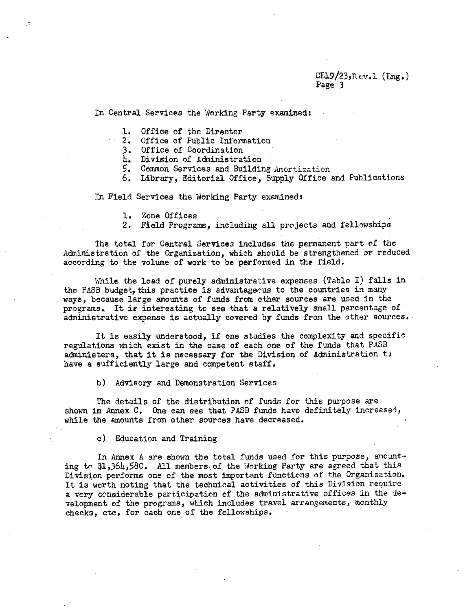### $CE19/23$ ,  $Rev.1$  (Eng.) Page 3

In Central Services the Working Party examined:

1. Office of the Director

2. Office of Public Information

- 3. Office of Coordination
- 4. Division of Administration
- 5. Common Services and Building Amortization
- 6, Library, Editorial Office, Supply Office and Publications

In Field Services the Working Party examined:

- 1. Zone Offices
- 2. Field Programs, including all projects and fellowships

The total for Central Services includes the permanent part of the Administration of the Organization, which should be strengthened or reduced according to the volume of work to be performed in the field.

While the load of purely administrative expenses (Table I) falls in the PASB budget, this practice is advantageous to the countries in many ways, because large amounts of funds from other sources are used in the programs, It ie interesting to see that a relatively small percentage of administrative expense is actually covered by funds from the other sources.

It is easily understood, if one studies the complexity and specific regulations which exist in the case of each one of the funds that PASB administers, that it is necessary for the Division of Administration t. have a sufficiently large and competent staff.

b) Advisory and Demonstration Services

The details of the distribution of funds for this purpose are shown in Annex C. One can see that PASB funds have definitely increased, while the amounts from other sources have decreased.

c) Education and Training

In Annex A are shown the total funds used for this purpose, amounting to  $1,364,580$ . All members of the Working Party are agreed that this Division performs one of the most important functions of the Organization. It is worth noting that the technical activities of this Division require a very considerable participation of the administrative offices in the development of the programs, which includes travel arrangements, monthly checks, etc. for each one of the fellowships.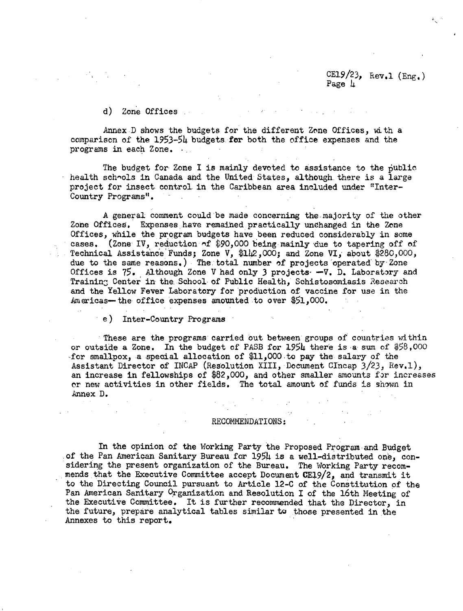CE1.9/23,  $Rev.1 (Eng.)$ Page  $\mu$ 

### d) Zone Offices

Annex D shows the budgets for the different Zone Offices, with a comparison of the  $1953-54$  budgets for both the office expenses and the programs in each Zone.

The budget for Zone I is mainly devoted to assistance to the public health schools in Canada and the United States, although there is a large project for insect control in the Caribbean area included under "Inter-Country Programs".

A general comment could be made concerning the-majority of the other Zone Offices. Expenses have remained practically unchanged in the Zone Offices, while the program budgets have been reduced considerably in some cases. (Zone IV, reduction of \$90,000 being mainly due to tapering off of Technical Assistance Funds; Zone V, \$142,000; and Zone VI, about \$280,000, due to the same reasons,) The. total number of projects operated by Zone Offices is 75. Although Zone V had only 3 projects.  $-V$ . D. Laboratory and Training Center in the School of Public Health, Schistosomiasis Research and the Yellow Fever Laboratory for production of vaccine for use in the Americas- the office expenses amounted to over \$51,000.

e) Inter-Country Programs

These are the programs carried out between groups of countries within or outside a Zone. In the budget of PASB for 1954 there is a sum of \$58,000 for smallpox, a special allocation of \$11,000 to pay the salary of the Assistant Director of INCAP (Resolution XIII, Document CIncap 3/23, Rev.l), an increase in fellowships of \$82,000, and other smaller amounts for increases or new activities in other fields. The total amount of funds is shown in Annex D.

### RECOMMENDATIONS:

In the opinion of the Working Party the Proposed Program and Budget of the Pan American Sanitary Bureau for 1954 is a well-distributed one, considering the present organization of the Bureau. The Working Party recommends that the Executive Committee accept Document CE19/2, and transmit it to the Directing Council pursuant to Article 12-C of the Constitution of the Pan American Sanitary Organization and Resolution I of the 16th Meeting of the Executive Committee. It is further recommended that the Director, in the future, prepare analytical tables similar to those presented in the Annexes to this report.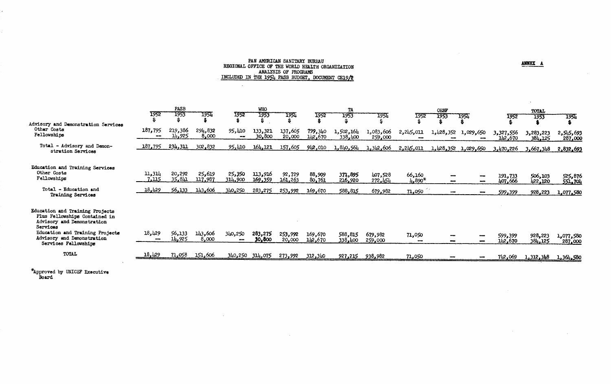# PAN AMERICAN SANITARY BUREAU<br>REGIONAL OFFICE OF THE WORLD HEALTH ORGANIZATION<br>ANALYSIS OF PROGRAMS<br>INCLUDED IN THE 1954 PASE BUDGET, DOCUMENT CE19/2

 $\sim$ 

 $\sim 10^{-1}$ 

 $\sim$ 

**ANNEX A** 

 $\sim$ 

 $\label{eq:2.1} \mathcal{L}(\mathcal{L}^{\text{max}}_{\mathcal{L}}(\mathcal{L}^{\text{max}}_{\mathcal{L}})) \leq \mathcal{L}(\mathcal{L}^{\text{max}}_{\mathcal{L}}(\mathcal{L}^{\text{max}}_{\mathcal{L}}))$ 

|                                                                                                                                                                             |                            | <b>PASB</b>       |                   |                   | <b>WHO</b>         |                   |                    | TA                   |                      |                    | OEBF      |                     |                      | TOTAL                |                      |
|-----------------------------------------------------------------------------------------------------------------------------------------------------------------------------|----------------------------|-------------------|-------------------|-------------------|--------------------|-------------------|--------------------|----------------------|----------------------|--------------------|-----------|---------------------|----------------------|----------------------|----------------------|
|                                                                                                                                                                             | 1952                       | 1953              | 1954              | 1952              | 1953               | 1954              | 1952               | 1953                 | 1954                 | 1952               | 1953      | <b>1954</b>         | 1952                 | 1953                 | 1954                 |
| Advisory and Demonstration Services<br>Other Costs<br>Fellowships                                                                                                           | 187,795<br>$\qquad \qquad$ | 219,386<br>14,925 | 294,832<br>8,000  | 95,410<br>$-$     | 133,321<br>30,800  | 137,605<br>20,000 | 799,340<br>142,670 | 1,502,164<br>338,400 | 1,083,606<br>259,000 | 2,245,011          | 1,428,352 | 1,029,650           | 3,327,556<br>142,670 | 3,283,223<br>384,125 | 2,545,693<br>287,000 |
| Total - Advisory and Demon-<br>stration Services                                                                                                                            | 187,795                    | 234,311           | 302,832           | 95,410            | 164,121            | 157,605           | 942,010            | 1,840,564            | 1,342,606            | 2,245,011          |           | 1,428,352 1,029,650 | 3,470,226            | 3,667,348            | 2,832,693            |
| Education and Training Services<br>Other Costs<br>Fellowships                                                                                                               | 11,314<br>7.115            | 20,292<br>41، 35  | 25,619<br>117,987 | 25,350<br>314,900 | 113,916<br>169,359 | 92,729<br>161,263 | 88,909<br>80,761   | 371,895<br>216,920   | 407,528<br>272,454   | 66,160<br>$4,890*$ |           | ÷.                  | 191,733<br>407,666   | 506,103<br>422,120   | 525,876<br>551,704   |
| Total - Education and<br>Training Services                                                                                                                                  | 18,429                     | 56,133            | 143,606           | 340,250           | 283,275            | 253,992           | 169,670            | 588,815              | 679,982              | 71,050             |           |                     | 599,399              | 928,223              | 1,077,580            |
| Education and Training Projects<br>Plus Fellowships Contained in<br>Advisory and Demonstration<br>Services<br>Education and Training Projects<br>Advisory and Demonstration | 18,429<br>$-$              | 56,133<br>14,925  | 143,606<br>8,000  | 340,250<br>$- -$  | 283,275<br>30,800  | 253,992<br>20,000 | 169,670<br>142,670 | 588,815<br>338,400   | 679,982              | 71,050             |           |                     | 599,399              | 928,223              | 1,077,580            |
| Services Fellowships                                                                                                                                                        |                            |                   |                   |                   |                    |                   |                    |                      | 259,000              |                    |           |                     | 142,670              | 384,125              | 287,000              |
| <b>TOTAL</b>                                                                                                                                                                | 18,429                     | 71,058            | 151,606           |                   | 340,250 314,075    | 273,992           | 312,340            | 927,215              | 938,982              | 71,050             |           |                     | 742,069              | 1,312,348            | 1,364,580            |

 $\mathcal{L}^{\text{max}}_{\text{max}}$ 

\*Approved by UNICEF Executive Board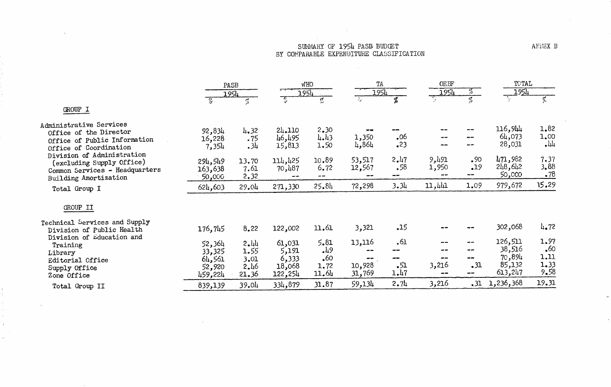## SUMMARY OF 1954 PASB BUDGET<br>BY COMPARABLE EXPENDITURE CLASSIFICATION

**Contract Contract Contract** 

 $\sim 10^7$ 

 $\sim 10^{-1}$ 

|                                                                                                                    | PASB<br>1954                                    |                                       | <b>WHO</b><br>1954                            |                                    |                             | TA<br>1954                                           |                                      | OEBF<br>न्द्र<br><u> 1954</u> |                                                  | TOTAL                                      |
|--------------------------------------------------------------------------------------------------------------------|-------------------------------------------------|---------------------------------------|-----------------------------------------------|------------------------------------|-----------------------------|------------------------------------------------------|--------------------------------------|-------------------------------|--------------------------------------------------|--------------------------------------------|
|                                                                                                                    | 货                                               | $\mathcal{I}_\mathrm{a}$              | ैं                                            | ಗ್ಲೆ                               | $\mathcal{E}_{\mathcal{F}}$ | Ļ,                                                   | ੍ਹ                                   | J.                            | <u> 1954</u><br>ीम् ।                            | ۶,                                         |
| GROUP I                                                                                                            |                                                 |                                       |                                               |                                    |                             |                                                      |                                      |                               |                                                  |                                            |
| Administrative Services<br>Office of the Director<br>Office of Public Information<br>Office of Coordination        | 92,834<br>16,228<br>7,354                       | 4.32<br>.75<br>.34                    | 24.110<br>46,495<br>15,813                    | 2,30<br>4.43<br>1.50               | 1,350<br>4,864              | .06<br>.23                                           | --                                   | --                            | 116,944<br>64,073<br>28,031                      | 1.82<br>1.00<br>$\cdot$ 44                 |
| Division of Administration<br>(excluding Supply Office)<br>Common Services - Headquarters<br>Building Amortization | 294,549<br>163,638<br>50,000                    | 13.70<br>7.61<br>2.32                 | 114,425<br>70,487                             | 10.89<br>6.72<br>--                | 53,517<br>12,567            | 2.47<br>.58<br>--                                    | 9,491<br>1,950                       | .90<br>.19<br>$ -$            | 471,982<br>248,642<br>50,000                     | 7.37<br>3.88<br>.78                        |
| Total Group I                                                                                                      | 624,603                                         | 29.04                                 | 271,330                                       | 25.84                              | 72,298                      | 3.34                                                 | 11,441                               | 1.09                          | 979,672                                          | 15.29                                      |
| GROUP II                                                                                                           |                                                 |                                       |                                               |                                    |                             |                                                      |                                      |                               |                                                  |                                            |
| Technical Services and Supply<br>Division of Public Health                                                         | 176,745                                         | 8.22                                  | 122,002                                       | 11.61                              | 3,321                       | $-15$                                                |                                      |                               | 302,068                                          | 4.72                                       |
| Division of Education and<br>Training<br>Library<br>Editorial Office<br>Supply Office<br>Zone Office               | 52,364<br>33,325<br>64,561<br>52,920<br>459,224 | 2.44<br>1.55<br>3.01<br>2.46<br>21.36 | 61,031<br>5,191<br>6,333<br>18,068<br>122,254 | 5.81<br>49<br>.60<br>1.72<br>11.64 | 13,116<br>10,928<br>31,769  | .61<br>$- -$<br>$\blacksquare$<br>$\cdot$ 51<br>1.47 | un an<br>--<br>--<br>3,216<br>$\sim$ | ÷,<br>--<br>--<br>.31<br>--   | 126,511<br>38,516<br>70,894<br>85,132<br>613,247 | 1.97<br>$\cdot$ 60<br>1.11<br>1.33<br>9.58 |
| Total Group II                                                                                                     | 839,139                                         | 39.04                                 | 334,879                                       | 31.87                              | 59,134                      | 2.74                                                 | 3,216                                | .31                           | 1,236,368                                        | 19.31                                      |

ANNEX B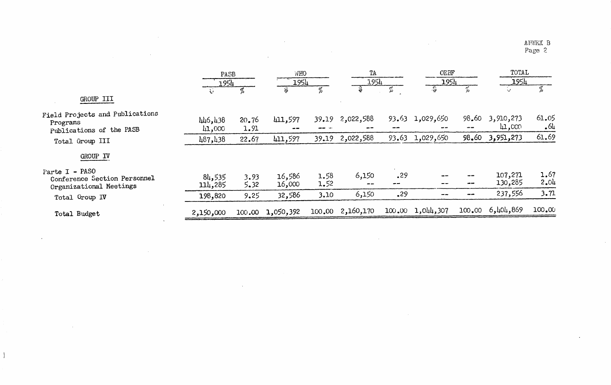ANNEX B<br>Page 2

 $\mathcal{L}_{\text{max}}$ 

 $\bullet$ 

 $\label{eq:2} \frac{1}{\sqrt{2}}\left(\frac{1}{\sqrt{2}}\right)^{2} \frac{1}{\sqrt{2}}\left(\frac{1}{\sqrt{2}}\right)^{2}$ 

 $\sim$ 

|                                                                           | PASB              |               |                  | WHO<br>1954  |                        | TA<br>1954 |                         | OEBF<br>1954             |                     | TOTAL          |
|---------------------------------------------------------------------------|-------------------|---------------|------------------|--------------|------------------------|------------|-------------------------|--------------------------|---------------------|----------------|
|                                                                           |                   | 1954          |                  |              |                        |            |                         |                          |                     | 1954           |
| GROUP III                                                                 | $\Delta \phi$     |               | Ş\$              | %            |                        |            |                         |                          | $\sim 10$           | %              |
| Field Projects and Publications<br>Programs<br>Publications of the PASB   | 446,438<br>41,000 | 20.76<br>1.91 | 411,597          |              | 39.19 2,022,588        |            | $93.63$ 1,029,650<br>-- | 98.60<br>$- -$           | 3,910,273<br>11,000 | 61.05<br>$-64$ |
| Total Group III                                                           | 487,438           | 22.67         | 411,597          | 39.19        | 2,022,588              | 93.63      | 1,029,650               | 98,60                    | 3,951,273           | 61.69          |
| GROUP IV                                                                  |                   |               |                  |              |                        |            |                         |                          |                     |                |
| Parte I - PASO<br>Conference Section Personnel<br>Organizational Meetings | 84,535<br>114,285 | 3.93<br>5.32  | 16,586<br>16,000 | 1.58<br>1.52 | 6,150<br>$\frac{1}{2}$ | .29        | --                      | --<br>--                 | 107,271<br>130,285  | 1.67<br>2.04   |
| Total Group IV                                                            | 198,820           | 9.25          | 32,586           | 3.10         | 6,150                  | .29        | --                      | $\overline{\phantom{m}}$ | 237,556             | 3.71           |
| Total Budget                                                              | 2,150,000         |               | 100.00 1,050,392 |              | 100.00 2,160,170       |            | 100.00 1,044,307        |                          | 100.00 6,404,869    | 100.00         |
|                                                                           |                   |               |                  |              |                        |            |                         |                          |                     |                |

 $\sim$ 

 $\sim 10^6$ 

 $\mathcal{L}^{\text{max}}_{\text{max}}$ 

 $\sim 10^7$ 

 $\sim$ 

 $\mathbf{I}$ 

 $\sim 10^{-1}$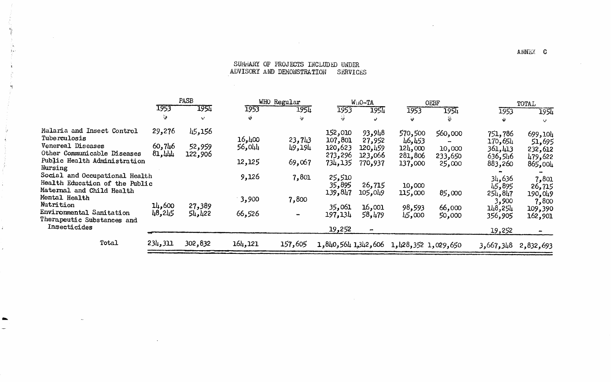### SUNNARY OF PROJECTS INCLUDED UNDER ADVISORY AND DEMONSTRATION SERVICES

 $\sim 10^{11}$ 

 $\sim 10^{11}$  km  $^{-1}$ 

 $\sim 100$ 

 $\sim$ 

 $\sim 10$ 

|                                                                  |                  | PASB              |               | WHO Regular    |                     | WiiO-TA                  |                     | OEBF              |                    | TOTAL              |  |
|------------------------------------------------------------------|------------------|-------------------|---------------|----------------|---------------------|--------------------------|---------------------|-------------------|--------------------|--------------------|--|
|                                                                  | 1953             | 1954              | 1953          | 1954           | 1953                | 1954                     | 1953                | 1954              | 1953               | 1954               |  |
|                                                                  | -9               | AZ.               | $\ddot{\phi}$ | - 19           | $\frac{1}{2}$       | ني                       | Ψ                   | نځ                | ψ                  | w                  |  |
| Malaria and Insect Control<br>Tuberculosis                       | 29,276           | 45,156            | 16,400        | 23,743         | 152,010<br>107,801  | 93,948<br>27,952         | 570,500<br>46,453   | 560,000           | 751,786<br>170,654 | 699,104<br>51,695  |  |
| Venereal Diseases<br>Other Communicable Diseases                 | 60,746<br>81,444 | 52,959<br>122,906 | 56,044        | 49,194         | 120,623<br>273,296  | 120,459<br>123,066       | 124,000<br>281,806  | 10,000<br>233,650 | 361,413<br>636,546 | 232,612<br>479,622 |  |
| Public Health Administration<br>Nursing                          |                  |                   | 12,125        | 69,067         | 734, 135            | 770,937                  | 137,000             | 25,000            | 883,260            | 865,004            |  |
| Social and Occupational Health<br>Health Education of the Public |                  |                   | 9,126         | 7,801          | 25,510<br>35,895    | 26,715                   | 10,000              |                   | 34,636<br>45,895   | 7,801<br>26,715    |  |
| Maternal and Child Health<br>Mental Health<br>Nutrition          | 14,600           |                   | 3,900         | 7,800          | 139,847             | 105,049                  | 115,000             | 85,000            | 254,847<br>3,900   | 190,049<br>7,800   |  |
| Environmental Sanitation<br>Therapeutic Substances and           | 48,245           | 27,389<br>54,422  | 66,526        | $\blacksquare$ | 35,061<br>197,134   | 16,001<br>58,479         | 98,593<br>45,000    | 66,000<br>50,000  | 148,254<br>356,905 | 109,390<br>162,901 |  |
| Insecticides                                                     |                  |                   |               |                | 19,252              | $\overline{\phantom{m}}$ |                     |                   | 19,252             |                    |  |
| Total                                                            | 234,311          | 302,832           | 164,121       | 157,605        | 1,840,564 1,342,606 |                          | 1,428,352 1,029,650 |                   | 3,667,348          | 2,832,693          |  |

 $\sim 10^{-1}$ 

ANNEX C

 $\sim$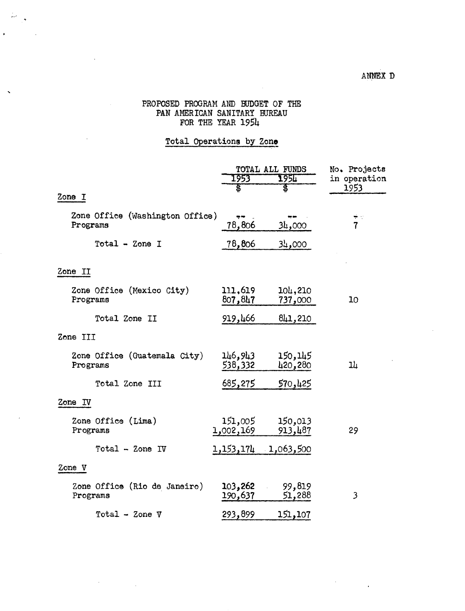$\mathcal{F}^{\text{max}}_{\text{max}}$ 

### PROPOSED PROGRAM AND BUDGET OF THE PAN AMERICAN SANITARY BUREAU FOR THE YEAR 1954

 $\frac{1}{\mu} \omega = \frac{1}{\sqrt{2}}$ 

 $\ddot{\phantom{1}}$ 

### Total Operations by Zone

|                                             |                      | TOTAL ALL FUNDS     | No. Projects           |
|---------------------------------------------|----------------------|---------------------|------------------------|
|                                             | 1953                 | 1950                | in operation           |
| Zone I                                      | \$                   | \$                  | 1953                   |
|                                             |                      |                     |                        |
| Zone Office (Washington Office)<br>Programs | iş ne<br>78,806      | 34,000              | ار پ<br>$\overline{7}$ |
| Total - Zone I                              | 78,806               | 34,000              |                        |
| Zone II                                     |                      |                     |                        |
| Zone Office (Mexico City)<br>Programs       | 111,619<br>807,847   | 104,210<br>737,000  | 10                     |
| Total Zone II                               | 919,466              | 841,210             |                        |
| Zone III                                    |                      |                     |                        |
| Zone Office (Guatemala City)<br>Programs    | 146,943<br>538,332   | 150,145<br>420,280  | ıL                     |
| Total Zone III                              | <u>685,275</u>       | 570,425             |                        |
| Zone IV                                     |                      |                     |                        |
| Zone Office (Lima)<br>Programs              | 151,005<br>1,002,169 | 150,013<br>913,487  | 29                     |
| Total - Zone IV                             |                      | 1,153,174 1,063,500 |                        |
| Zone V                                      |                      |                     |                        |
| Zone Office (Rio de Janeiro)<br>Programs    | 103,262<br>190,637   | 99,819<br>51,288    | 3                      |
| Total - Zone $V$                            | 293,899              | 151,107             |                        |

 $\mathcal{A}^{\mathcal{A}}$ 

 $\frac{1}{2}$  ,  $\frac{1}{2}$  ,  $\frac{1}{2}$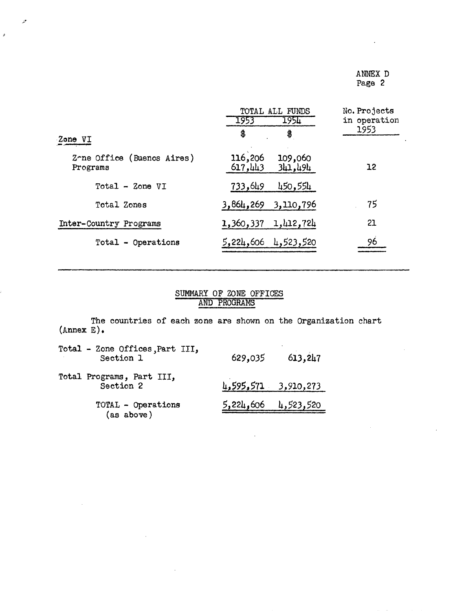### ANNEX D Page 2

|                                        | TOTAL ALL FUNDS<br>1954<br>1953          | No. Projects<br>in operation |
|----------------------------------------|------------------------------------------|------------------------------|
| Zone VI                                | \$<br>\$                                 | 1953                         |
| Zone Office (Buenos Aires)<br>Programs | 116,206<br>109,060<br>341,494<br>617,443 | 12                           |
| Total - Zone VI                        | 733,649<br>450,554                       |                              |
| Total Zones                            | 3,864,269<br>3,110,796                   | 75                           |
| Inter-Country Programs                 | 1,412,724<br>1,360,337                   | 21                           |
| Total - Operations                     | 4,523,520<br>5,224,606                   | 96                           |

 $\mathcal{P}$ 

 $\mathcal{L}$ 

### SUMMARY OF ZONE OFFICES AND PROGRAMS

The countries of each zone are shown on the Organization chart (Annex E).

| Total - Zone Offices, Part III,<br>Section 1 | 629,035 | 613,247               |
|----------------------------------------------|---------|-----------------------|
| Total Programs, Part III,<br>Section 2       |         | $1,595,571$ 3,910,273 |
| TOTAL - Operations<br>(as above)             |         | $5,224,606$ 4,523,520 |